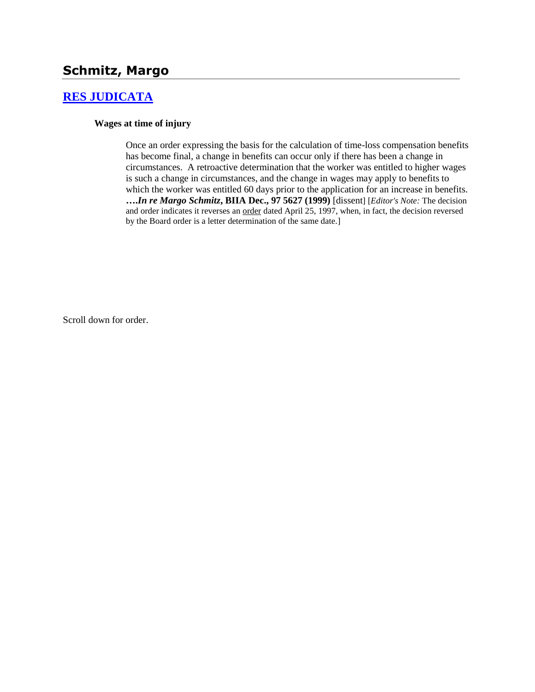# **Schmitz, Margo**

## **[RES JUDICATA](http://www.biia.wa.gov/SDSubjectIndex.html#RES_JUDICATA)**

#### **Wages at time of injury**

Once an order expressing the basis for the calculation of time-loss compensation benefits has become final, a change in benefits can occur only if there has been a change in circumstances. A retroactive determination that the worker was entitled to higher wages is such a change in circumstances, and the change in wages may apply to benefits to which the worker was entitled 60 days prior to the application for an increase in benefits. **….***In re Margo Schmitz***, BIIA Dec., 97 5627 (1999)** [dissent] [*Editor's Note:* The decision and order indicates it reverses an order dated April 25, 1997, when, in fact, the decision reversed by the Board order is a letter determination of the same date.]

Scroll down for order.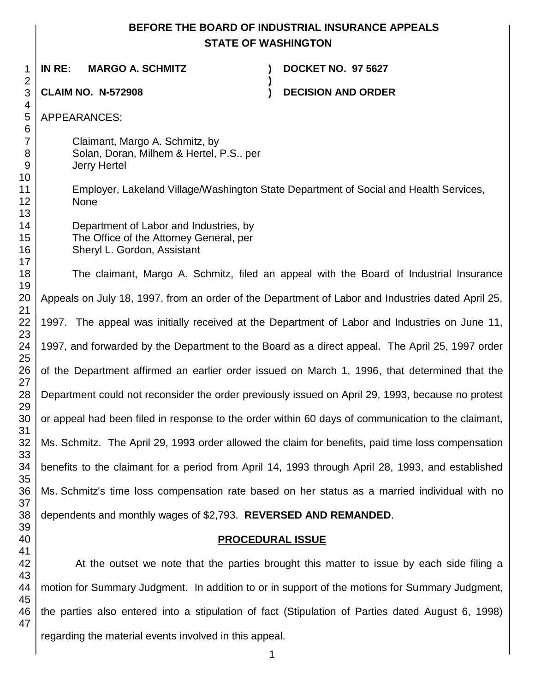## **BEFORE THE BOARD OF INDUSTRIAL INSURANCE APPEALS STATE OF WASHINGTON**

**)**

**IN RE: MARGO A. SCHMITZ ) DOCKET NO. 97 5627**

**CLAIM NO. N-572908 ) DECISION AND ORDER** 

APPEARANCES:

 

Claimant, Margo A. Schmitz, by Solan, Doran, Milhem & Hertel, P.S., per Jerry Hertel

Employer, Lakeland Village/Washington State Department of Social and Health Services, None

Department of Labor and Industries, by The Office of the Attorney General, per Sheryl L. Gordon, Assistant

 The claimant, Margo A. Schmitz, filed an appeal with the Board of Industrial Insurance Appeals on July 18, 1997, from an order of the Department of Labor and Industries dated April 25, 1997. The appeal was initially received at the Department of Labor and Industries on June 11, 1997, and forwarded by the Department to the Board as a direct appeal. The April 25, 1997 order of the Department affirmed an earlier order issued on March 1, 1996, that determined that the Department could not reconsider the order previously issued on April 29, 1993, because no protest or appeal had been filed in response to the order within 60 days of communication to the claimant, Ms. Schmitz. The April 29, 1993 order allowed the claim for benefits, paid time loss compensation benefits to the claimant for a period from April 14, 1993 through April 28, 1993, and established Ms. Schmitz's time loss compensation rate based on her status as a married individual with no dependents and monthly wages of \$2,793. **REVERSED AND REMANDED**.

## **PROCEDURAL ISSUE**

 At the outset we note that the parties brought this matter to issue by each side filing a motion for Summary Judgment. In addition to or in support of the motions for Summary Judgment, the parties also entered into a stipulation of fact (Stipulation of Parties dated August 6, 1998) regarding the material events involved in this appeal.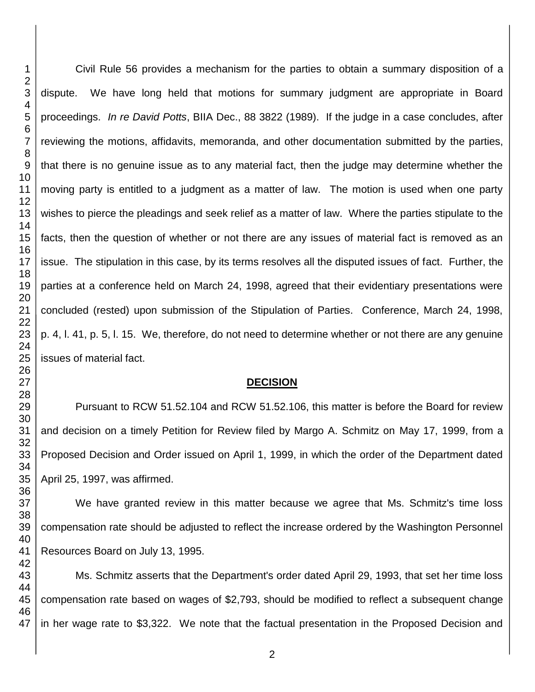Civil Rule 56 provides a mechanism for the parties to obtain a summary disposition of a dispute. We have long held that motions for summary judgment are appropriate in Board proceedings. *In re David Potts*, BIIA Dec., 88 3822 (1989). If the judge in a case concludes, after reviewing the motions, affidavits, memoranda, and other documentation submitted by the parties, that there is no genuine issue as to any material fact, then the judge may determine whether the moving party is entitled to a judgment as a matter of law. The motion is used when one party wishes to pierce the pleadings and seek relief as a matter of law. Where the parties stipulate to the facts, then the question of whether or not there are any issues of material fact is removed as an issue. The stipulation in this case, by its terms resolves all the disputed issues of fact. Further, the parties at a conference held on March 24, 1998, agreed that their evidentiary presentations were concluded (rested) upon submission of the Stipulation of Parties. Conference, March 24, 1998, p. 4, l. 41, p. 5, l. 15. We, therefore, do not need to determine whether or not there are any genuine issues of material fact.

### **DECISION**

Pursuant to RCW 51.52.104 and RCW 51.52.106, this matter is before the Board for review and decision on a timely Petition for Review filed by Margo A. Schmitz on May 17, 1999, from a Proposed Decision and Order issued on April 1, 1999, in which the order of the Department dated April 25, 1997, was affirmed.

We have granted review in this matter because we agree that Ms. Schmitz's time loss compensation rate should be adjusted to reflect the increase ordered by the Washington Personnel Resources Board on July 13, 1995.

Ms. Schmitz asserts that the Department's order dated April 29, 1993, that set her time loss compensation rate based on wages of \$2,793, should be modified to reflect a subsequent change in her wage rate to \$3,322. We note that the factual presentation in the Proposed Decision and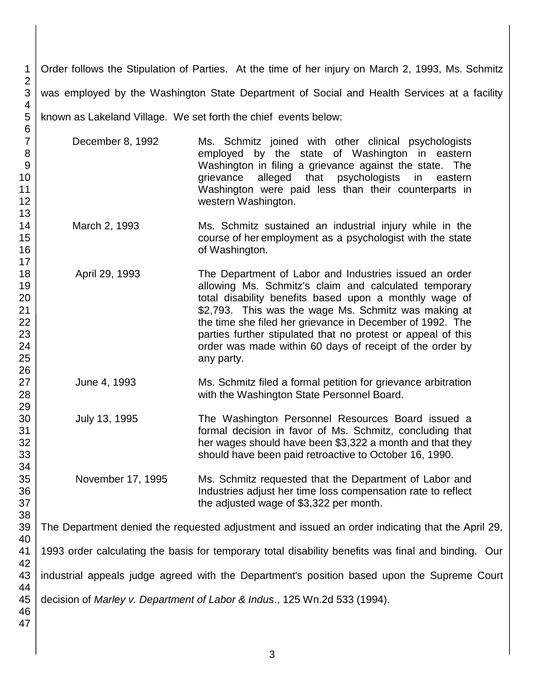3 4 5 Order follows the Stipulation of Parties. At the time of her injury on March 2, 1993, Ms. Schmitz was employed by the Washington State Department of Social and Health Services at a facility known as Lakeland Village. We set forth the chief events below:

December 8, 1992 Ms. Schmitz joined with other clinical psychologists employed by the state of Washington in eastern Washington in filing a grievance against the state. The grievance alleged that psychologists in eastern Washington were paid less than their counterparts in western Washington.

- March 2, 1993 Ms. Schmitz sustained an industrial injury while in the course of her employment as a psychologist with the state of Washington.
- April 29, 1993 The Department of Labor and Industries issued an order allowing Ms. Schmitz's claim and calculated temporary total disability benefits based upon a monthly wage of \$2,793. This was the wage Ms. Schmitz was making at the time she filed her grievance in December of 1992. The parties further stipulated that no protest or appeal of this order was made within 60 days of receipt of the order by any party.
- June 4, 1993 Ms. Schmitz filed a formal petition for grievance arbitration with the Washington State Personnel Board.
- July 13, 1995 The Washington Personnel Resources Board issued a formal decision in favor of Ms. Schmitz, concluding that her wages should have been \$3,322 a month and that they should have been paid retroactive to October 16, 1990.
- November 17, 1995 Ms. Schmitz requested that the Department of Labor and Industries adjust her time loss compensation rate to reflect the adjusted wage of \$3,322 per month.

The Department denied the requested adjustment and issued an order indicating that the April 29,

1993 order calculating the basis for temporary total disability benefits was final and binding. Our

industrial appeals judge agreed with the Department's position based upon the Supreme Court

decision of *Marley v. Department of Labor & Indus*., 125 Wn.2d 533 (1994).

1 2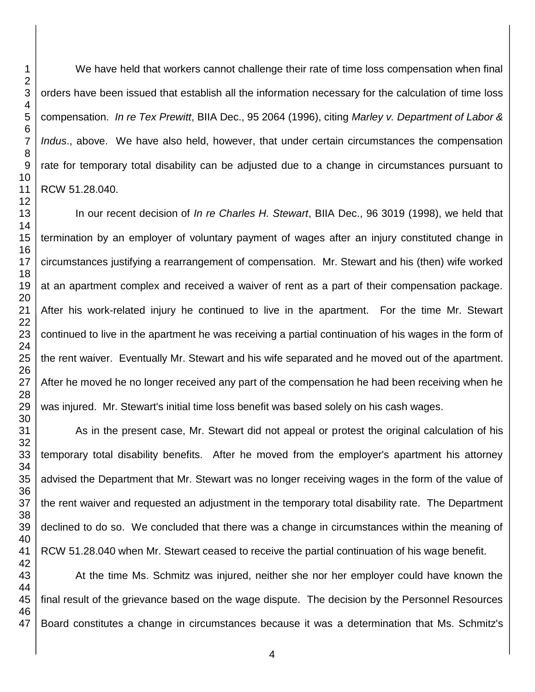We have held that workers cannot challenge their rate of time loss compensation when final orders have been issued that establish all the information necessary for the calculation of time loss compensation. *In re Tex Prewitt*, BIIA Dec., 95 2064 (1996), citing *Marley v. Department of Labor & Indus*., above. We have also held, however, that under certain circumstances the compensation rate for temporary total disability can be adjusted due to a change in circumstances pursuant to RCW 51.28.040.

In our recent decision of *In re Charles H. Stewart*, BIIA Dec., 96 3019 (1998), we held that termination by an employer of voluntary payment of wages after an injury constituted change in circumstances justifying a rearrangement of compensation. Mr. Stewart and his (then) wife worked at an apartment complex and received a waiver of rent as a part of their compensation package. After his work-related injury he continued to live in the apartment. For the time Mr. Stewart continued to live in the apartment he was receiving a partial continuation of his wages in the form of the rent waiver. Eventually Mr. Stewart and his wife separated and he moved out of the apartment. After he moved he no longer received any part of the compensation he had been receiving when he was injured. Mr. Stewart's initial time loss benefit was based solely on his cash wages.

As in the present case, Mr. Stewart did not appeal or protest the original calculation of his temporary total disability benefits. After he moved from the employer's apartment his attorney advised the Department that Mr. Stewart was no longer receiving wages in the form of the value of the rent waiver and requested an adjustment in the temporary total disability rate. The Department declined to do so. We concluded that there was a change in circumstances within the meaning of RCW 51.28.040 when Mr. Stewart ceased to receive the partial continuation of his wage benefit.

 At the time Ms. Schmitz was injured, neither she nor her employer could have known the final result of the grievance based on the wage dispute. The decision by the Personnel Resources Board constitutes a change in circumstances because it was a determination that Ms. Schmitz's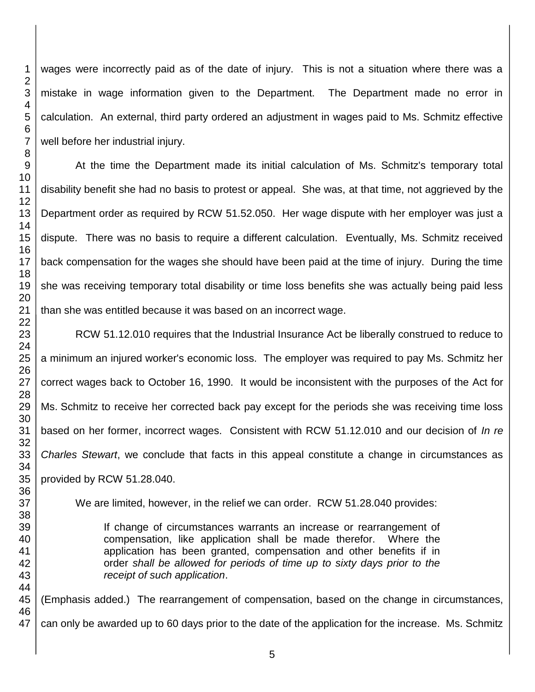wages were incorrectly paid as of the date of injury. This is not a situation where there was a mistake in wage information given to the Department. The Department made no error in calculation. An external, third party ordered an adjustment in wages paid to Ms. Schmitz effective well before her industrial injury.

At the time the Department made its initial calculation of Ms. Schmitz's temporary total disability benefit she had no basis to protest or appeal. She was, at that time, not aggrieved by the Department order as required by RCW 51.52.050. Her wage dispute with her employer was just a dispute. There was no basis to require a different calculation. Eventually, Ms. Schmitz received back compensation for the wages she should have been paid at the time of injury. During the time she was receiving temporary total disability or time loss benefits she was actually being paid less than she was entitled because it was based on an incorrect wage.

RCW 51.12.010 requires that the Industrial Insurance Act be liberally construed to reduce to a minimum an injured worker's economic loss. The employer was required to pay Ms. Schmitz her correct wages back to October 16, 1990. It would be inconsistent with the purposes of the Act for Ms. Schmitz to receive her corrected back pay except for the periods she was receiving time loss based on her former, incorrect wages. Consistent with RCW 51.12.010 and our decision of *In re Charles Stewart*, we conclude that facts in this appeal constitute a change in circumstances as provided by RCW 51.28.040.

We are limited, however, in the relief we can order. RCW 51.28.040 provides:

If change of circumstances warrants an increase or rearrangement of compensation, like application shall be made therefor. Where the application has been granted, compensation and other benefits if in order *shall be allowed for periods of time up to sixty days prior to the receipt of such application*.

 (Emphasis added.) The rearrangement of compensation, based on the change in circumstances, can only be awarded up to 60 days prior to the date of the application for the increase. Ms. Schmitz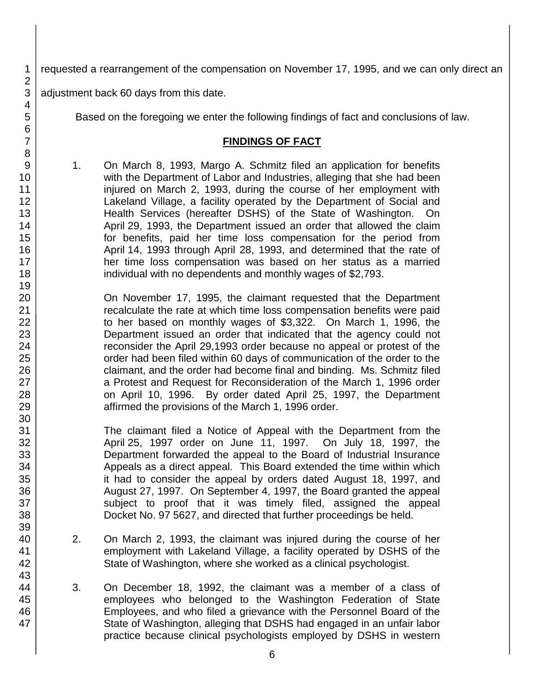requested a rearrangement of the compensation on November 17, 1995, and we can only direct an

adjustment back 60 days from this date.

Based on the foregoing we enter the following findings of fact and conclusions of law.

### **FINDINGS OF FACT**

1. On March 8, 1993, Margo A. Schmitz filed an application for benefits with the Department of Labor and Industries, alleging that she had been injured on March 2, 1993, during the course of her employment with Lakeland Village, a facility operated by the Department of Social and Health Services (hereafter DSHS) of the State of Washington. On April 29, 1993, the Department issued an order that allowed the claim for benefits, paid her time loss compensation for the period from April 14, 1993 through April 28, 1993, and determined that the rate of her time loss compensation was based on her status as a married individual with no dependents and monthly wages of \$2,793.

On November 17, 1995, the claimant requested that the Department recalculate the rate at which time loss compensation benefits were paid to her based on monthly wages of \$3,322. On March 1, 1996, the Department issued an order that indicated that the agency could not reconsider the April 29,1993 order because no appeal or protest of the order had been filed within 60 days of communication of the order to the claimant, and the order had become final and binding. Ms. Schmitz filed a Protest and Request for Reconsideration of the March 1, 1996 order on April 10, 1996. By order dated April 25, 1997, the Department affirmed the provisions of the March 1, 1996 order.

The claimant filed a Notice of Appeal with the Department from the April 25, 1997 order on June 11, 1997. On July 18, 1997, the Department forwarded the appeal to the Board of Industrial Insurance Appeals as a direct appeal. This Board extended the time within which it had to consider the appeal by orders dated August 18, 1997, and August 27, 1997. On September 4, 1997, the Board granted the appeal subject to proof that it was timely filed, assigned the appeal Docket No. 97 5627, and directed that further proceedings be held.

- 2. On March 2, 1993, the claimant was injured during the course of her employment with Lakeland Village, a facility operated by DSHS of the State of Washington, where she worked as a clinical psychologist.
- 3. On December 18, 1992, the claimant was a member of a class of employees who belonged to the Washington Federation of State Employees, and who filed a grievance with the Personnel Board of the State of Washington, alleging that DSHS had engaged in an unfair labor practice because clinical psychologists employed by DSHS in western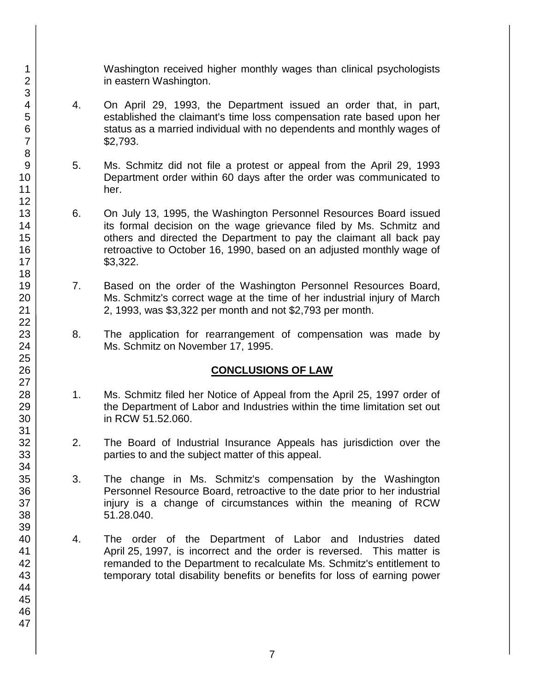Washington received higher monthly wages than clinical psychologists in eastern Washington.

- 4. On April 29, 1993, the Department issued an order that, in part, established the claimant's time loss compensation rate based upon her status as a married individual with no dependents and monthly wages of \$2,793.
- 5. Ms. Schmitz did not file a protest or appeal from the April 29, 1993 Department order within 60 days after the order was communicated to her.
- 6. On July 13, 1995, the Washington Personnel Resources Board issued its formal decision on the wage grievance filed by Ms. Schmitz and others and directed the Department to pay the claimant all back pay retroactive to October 16, 1990, based on an adjusted monthly wage of \$3,322.
- 7. Based on the order of the Washington Personnel Resources Board, Ms. Schmitz's correct wage at the time of her industrial injury of March 2, 1993, was \$3,322 per month and not \$2,793 per month.
- 8. The application for rearrangement of compensation was made by Ms. Schmitz on November 17, 1995.

## **CONCLUSIONS OF LAW**

- 1. Ms. Schmitz filed her Notice of Appeal from the April 25, 1997 order of the Department of Labor and Industries within the time limitation set out in RCW 51.52.060.
- 2. The Board of Industrial Insurance Appeals has jurisdiction over the parties to and the subject matter of this appeal.
- 3. The change in Ms. Schmitz's compensation by the Washington Personnel Resource Board, retroactive to the date prior to her industrial injury is a change of circumstances within the meaning of RCW 51.28.040.
- 4. The order of the Department of Labor and Industries dated April 25, 1997, is incorrect and the order is reversed. This matter is remanded to the Department to recalculate Ms. Schmitz's entitlement to temporary total disability benefits or benefits for loss of earning power

1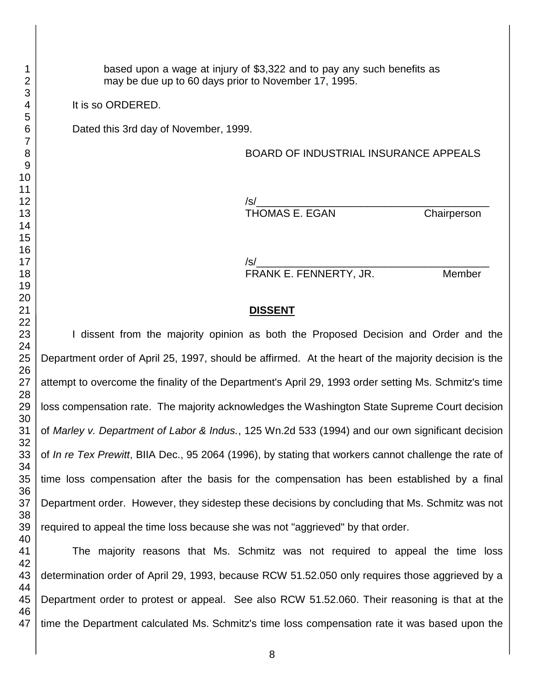based upon a wage at injury of \$3,322 and to pay any such benefits as may be due up to 60 days prior to November 17, 1995.

It is so ORDERED.

Dated this 3rd day of November, 1999.

#### BOARD OF INDUSTRIAL INSURANCE APPEALS

/s/\_\_\_\_\_\_\_\_\_\_\_\_\_\_\_\_\_\_\_\_\_\_\_\_\_\_\_\_\_\_\_\_\_\_\_\_\_\_\_\_ THOMAS E. EGAN Chairperson

/s/\_\_\_\_\_\_\_\_\_\_\_\_\_\_\_\_\_\_\_\_\_\_\_\_\_\_\_\_\_\_\_\_\_\_\_\_\_\_\_\_ FRANK E. FENNERTY, JR. Member

#### **DISSENT**

I dissent from the majority opinion as both the Proposed Decision and Order and the Department order of April 25, 1997, should be affirmed. At the heart of the majority decision is the attempt to overcome the finality of the Department's April 29, 1993 order setting Ms. Schmitz's time loss compensation rate. The majority acknowledges the Washington State Supreme Court decision of *Marley v. Department of Labor & Indus.*, 125 Wn.2d 533 (1994) and our own significant decision of *In re Tex Prewitt*, BIIA Dec., 95 2064 (1996), by stating that workers cannot challenge the rate of time loss compensation after the basis for the compensation has been established by a final Department order. However, they sidestep these decisions by concluding that Ms. Schmitz was not required to appeal the time loss because she was not "aggrieved" by that order.

The majority reasons that Ms. Schmitz was not required to appeal the time loss determination order of April 29, 1993, because RCW 51.52.050 only requires those aggrieved by a Department order to protest or appeal. See also RCW 51.52.060. Their reasoning is that at the time the Department calculated Ms. Schmitz's time loss compensation rate it was based upon the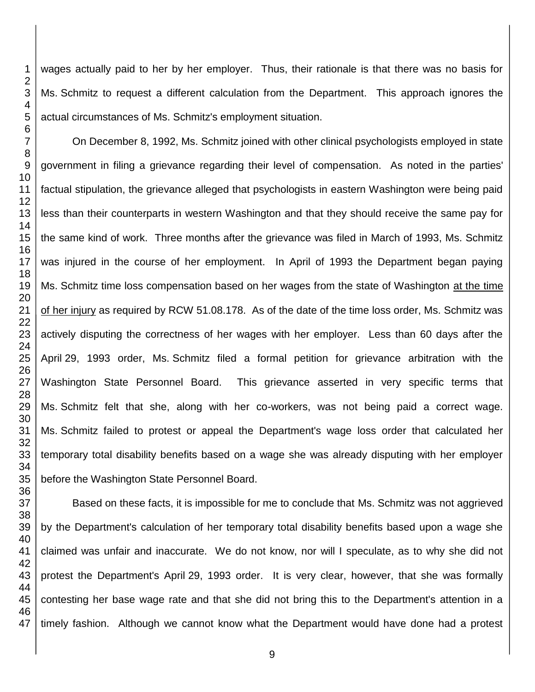wages actually paid to her by her employer. Thus, their rationale is that there was no basis for Ms. Schmitz to request a different calculation from the Department. This approach ignores the actual circumstances of Ms. Schmitz's employment situation.

On December 8, 1992, Ms. Schmitz joined with other clinical psychologists employed in state government in filing a grievance regarding their level of compensation. As noted in the parties' factual stipulation, the grievance alleged that psychologists in eastern Washington were being paid less than their counterparts in western Washington and that they should receive the same pay for the same kind of work. Three months after the grievance was filed in March of 1993, Ms. Schmitz was injured in the course of her employment. In April of 1993 the Department began paying Ms. Schmitz time loss compensation based on her wages from the state of Washington at the time of her injury as required by RCW 51.08.178. As of the date of the time loss order, Ms. Schmitz was actively disputing the correctness of her wages with her employer. Less than 60 days after the April 29, 1993 order, Ms. Schmitz filed a formal petition for grievance arbitration with the Washington State Personnel Board. This grievance asserted in very specific terms that Ms. Schmitz felt that she, along with her co-workers, was not being paid a correct wage. Ms. Schmitz failed to protest or appeal the Department's wage loss order that calculated her temporary total disability benefits based on a wage she was already disputing with her employer before the Washington State Personnel Board.

Based on these facts, it is impossible for me to conclude that Ms. Schmitz was not aggrieved by the Department's calculation of her temporary total disability benefits based upon a wage she claimed was unfair and inaccurate. We do not know, nor will I speculate, as to why she did not protest the Department's April 29, 1993 order. It is very clear, however, that she was formally contesting her base wage rate and that she did not bring this to the Department's attention in a timely fashion. Although we cannot know what the Department would have done had a protest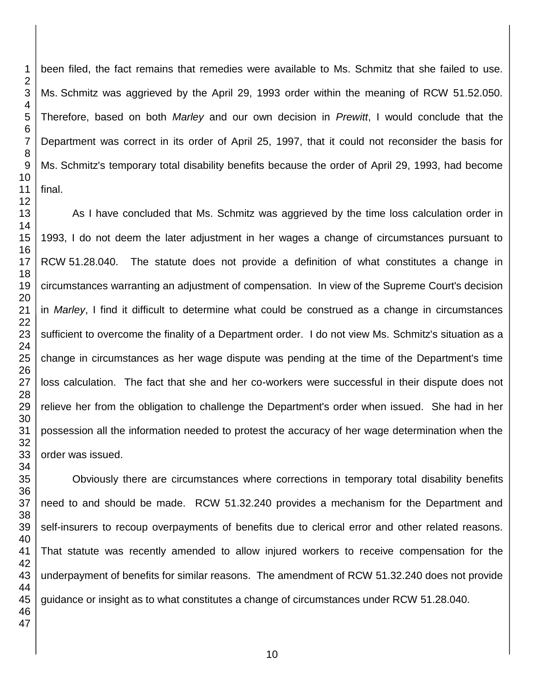been filed, the fact remains that remedies were available to Ms. Schmitz that she failed to use. Ms. Schmitz was aggrieved by the April 29, 1993 order within the meaning of RCW 51.52.050. Therefore, based on both *Marley* and our own decision in *Prewitt*, I would conclude that the Department was correct in its order of April 25, 1997, that it could not reconsider the basis for Ms. Schmitz's temporary total disability benefits because the order of April 29, 1993, had become

As I have concluded that Ms. Schmitz was aggrieved by the time loss calculation order in 1993, I do not deem the later adjustment in her wages a change of circumstances pursuant to RCW 51.28.040. The statute does not provide a definition of what constitutes a change in circumstances warranting an adjustment of compensation. In view of the Supreme Court's decision in *Marley*, I find it difficult to determine what could be construed as a change in circumstances sufficient to overcome the finality of a Department order. I do not view Ms. Schmitz's situation as a change in circumstances as her wage dispute was pending at the time of the Department's time loss calculation. The fact that she and her co-workers were successful in their dispute does not relieve her from the obligation to challenge the Department's order when issued. She had in her possession all the information needed to protest the accuracy of her wage determination when the order was issued.

Obviously there are circumstances where corrections in temporary total disability benefits need to and should be made. RCW 51.32.240 provides a mechanism for the Department and self-insurers to recoup overpayments of benefits due to clerical error and other related reasons. That statute was recently amended to allow injured workers to receive compensation for the underpayment of benefits for similar reasons. The amendment of RCW 51.32.240 does not provide guidance or insight as to what constitutes a change of circumstances under RCW 51.28.040.